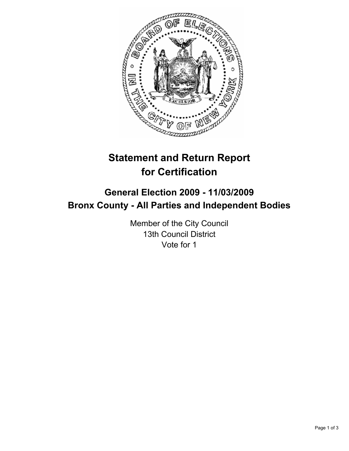

# **Statement and Return Report for Certification**

# **General Election 2009 - 11/03/2009 Bronx County - All Parties and Independent Bodies**

Member of the City Council 13th Council District Vote for 1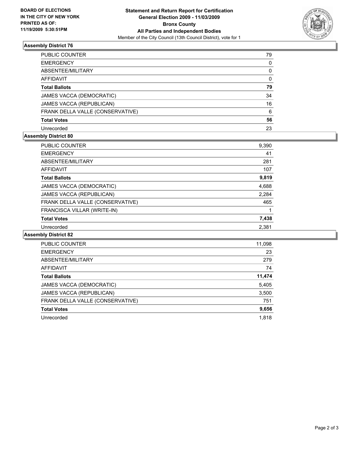

## **Assembly District 76**

| PUBLIC COUNTER                   | 79           |
|----------------------------------|--------------|
| <b>EMERGENCY</b>                 | 0            |
| ABSENTEE/MILITARY                | 0            |
| <b>AFFIDAVIT</b>                 | $\mathbf{0}$ |
| <b>Total Ballots</b>             | 79           |
| JAMES VACCA (DEMOCRATIC)         | 34           |
| JAMES VACCA (REPUBLICAN)         | 16           |
| FRANK DELLA VALLE (CONSERVATIVE) | 6            |
| <b>Total Votes</b>               | 56           |
| Unrecorded                       | 23           |

### **Assembly District 80**

| <b>PUBLIC COUNTER</b>            | 9,390 |
|----------------------------------|-------|
| <b>EMERGENCY</b>                 | 41    |
| ABSENTEE/MILITARY                | 281   |
| AFFIDAVIT                        | 107   |
| <b>Total Ballots</b>             | 9,819 |
| JAMES VACCA (DEMOCRATIC)         | 4,688 |
| JAMES VACCA (REPUBLICAN)         | 2,284 |
| FRANK DELLA VALLE (CONSERVATIVE) | 465   |
| FRANCISCA VILLAR (WRITE-IN)      |       |
| <b>Total Votes</b>               | 7,438 |
| Unrecorded                       | 2,381 |
|                                  |       |

#### **Assembly District 82**

| <b>PUBLIC COUNTER</b>            | 11,098 |
|----------------------------------|--------|
| <b>EMERGENCY</b>                 | 23     |
| ABSENTEE/MILITARY                | 279    |
| <b>AFFIDAVIT</b>                 | 74     |
| <b>Total Ballots</b>             | 11,474 |
| JAMES VACCA (DEMOCRATIC)         | 5,405  |
| JAMES VACCA (REPUBLICAN)         | 3,500  |
| FRANK DELLA VALLE (CONSERVATIVE) | 751    |
| <b>Total Votes</b>               | 9,656  |
| Unrecorded                       | 1,818  |